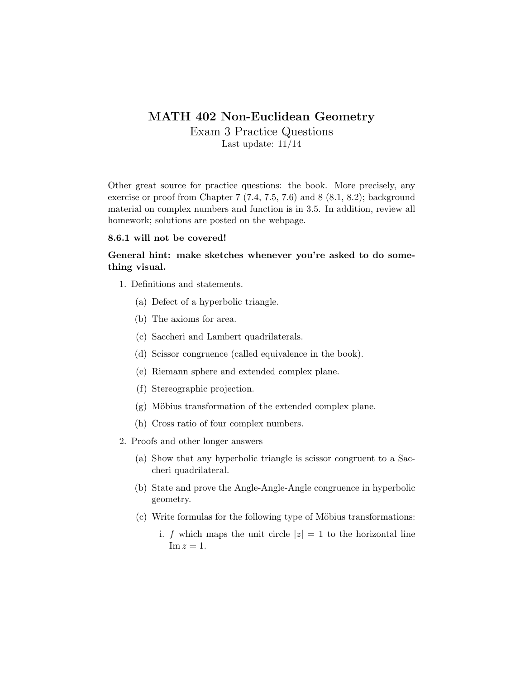## MATH 402 Non-Euclidean Geometry

Exam 3 Practice Questions Last update: 11/14

Other great source for practice questions: the book. More precisely, any exercise or proof from Chapter 7 (7.4, 7.5, 7.6) and 8 (8.1, 8.2); background material on complex numbers and function is in 3.5. In addition, review all homework; solutions are posted on the webpage.

## 8.6.1 will not be covered!

## General hint: make sketches whenever you're asked to do something visual.

- 1. Definitions and statements.
	- (a) Defect of a hyperbolic triangle.
	- (b) The axioms for area.
	- (c) Saccheri and Lambert quadrilaterals.
	- (d) Scissor congruence (called equivalence in the book).
	- (e) Riemann sphere and extended complex plane.
	- (f) Stereographic projection.
	- (g) Möbius transformation of the extended complex plane.
	- (h) Cross ratio of four complex numbers.
- 2. Proofs and other longer answers
	- (a) Show that any hyperbolic triangle is scissor congruent to a Saccheri quadrilateral.
	- (b) State and prove the Angle-Angle-Angle congruence in hyperbolic geometry.
	- (c) Write formulas for the following type of Möbius transformations:
		- i. f which maps the unit circle  $|z|=1$  to the horizontal line  $\text{Im } z = 1.$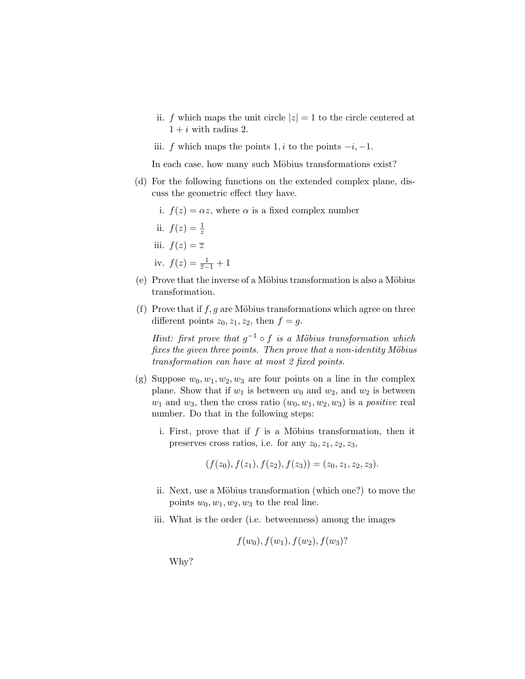- ii. f which maps the unit circle  $|z|=1$  to the circle centered at  $1 + i$  with radius 2.
- iii. f which maps the points  $1, i$  to the points  $-i, -1$ .

In each case, how many such Möbius transformations exist?

- (d) For the following functions on the extended complex plane, discuss the geometric effect they have.
	- i.  $f(z) = \alpha z$ , where  $\alpha$  is a fixed complex number
	- ii.  $f(z) = \frac{1}{z}$ iii.  $f(z) = \overline{z}$

iv. 
$$
f(z) = \frac{1}{z-1} + 1
$$

- $(e)$  Prove that the inverse of a Möbius transformation is also a Möbius transformation.
- (f) Prove that if  $f, g$  are Möbius transformations which agree on three different points  $z_0, z_1, z_2$ , then  $f = g$ .

Hint: first prove that  $g^{-1} \circ f$  is a Möbius transformation which fixes the given three points. Then prove that a non-identity  $M\ddot{o}bius$ transformation can have at most 2 fixed points.

- (g) Suppose  $w_0, w_1, w_2, w_3$  are four points on a line in the complex plane. Show that if  $w_1$  is between  $w_0$  and  $w_2$ , and  $w_2$  is between  $w_1$  and  $w_3$ , then the cross ratio  $(w_0, w_1, w_2, w_3)$  is a *positive* real number. Do that in the following steps:
	- i. First, prove that if  $f$  is a Möbius transformation, then it preserves cross ratios, i.e. for any  $z_0, z_1, z_2, z_3$ ,

 $(f(z_0), f(z_1), f(z_2), f(z_3)) = (z_0, z_1, z_2, z_3).$ 

- ii. Next, use a Möbius transformation (which one?) to move the points  $w_0, w_1, w_2, w_3$  to the real line.
- iii. What is the order (i.e. betweenness) among the images

$$
f(w_0), f(w_1), f(w_2), f(w_3)
$$
?

Why?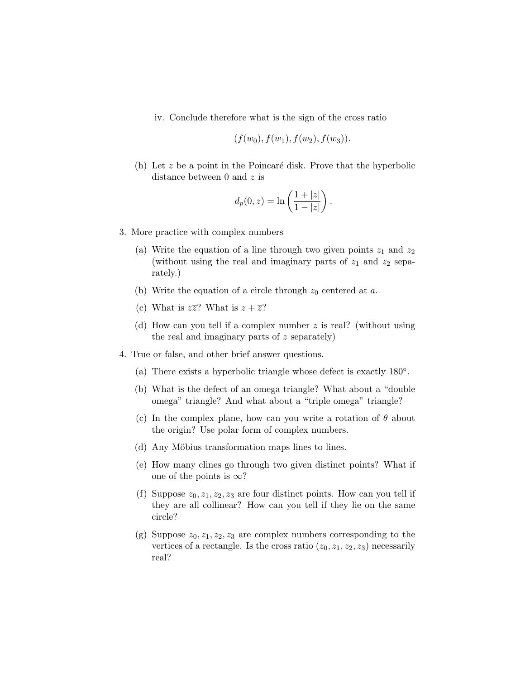iv. Conclude therefore what is the sign of the cross ratio

$$
(f(w_0), f(w_1), f(w_2), f(w_3)).
$$

(h) Let  $z$  be a point in the Poincaré disk. Prove that the hyperbolic distance between 0 and z is

$$
d_p(0, z) = \ln\left(\frac{1+|z|}{1-|z|}\right).
$$

- 3. More practice with complex numbers
	- (a) Write the equation of a line through two given points  $z_1$  and  $z_2$ (without using the real and imaginary parts of  $z_1$  and  $z_2$  separately.)
	- (b) Write the equation of a circle through  $z_0$  centered at a.
	- (c) What is  $z\overline{z}$ ? What is  $z + \overline{z}$ ?
	- (d) How can you tell if a complex number z is real? (without using the real and imaginary parts of z separately)
- 4. True or false, and other brief answer questions.
	- (a) There exists a hyperbolic triangle whose defect is exactly 180◦ .
	- (b) What is the defect of an omega triangle? What about a "double omega" triangle? And what about a "triple omega" triangle?
	- (c) In the complex plane, how can you write a rotation of  $\theta$  about the origin? Use polar form of complex numbers.
	- (d) Any Möbius transformation maps lines to lines.
	- (e) How many clines go through two given distinct points? What if one of the points is  $\infty$ ?
	- (f) Suppose  $z_0, z_1, z_2, z_3$  are four distinct points. How can you tell if they are all collinear? How can you tell if they lie on the same circle?
	- (g) Suppose  $z_0, z_1, z_2, z_3$  are complex numbers corresponding to the vertices of a rectangle. Is the cross ratio  $(z_0, z_1, z_2, z_3)$  necessarily real?